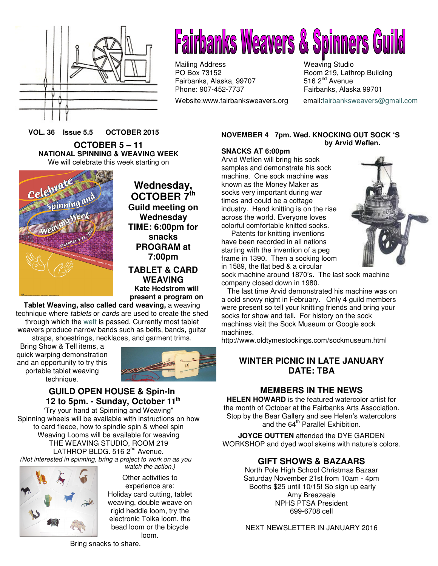



Mailing Address Weaving Studio<br>
PO Box 73152 Mean PO Box 73152 Fairbanks, Alaska, 99707 Phone: 907-452-7737 Fairbanks, Alaska 99701

Website:www.fairbanksweavers.org email:fairbanksweavers@gmail.com

Room 219, Lathrop Building 516  $2<sup>nd</sup>$  Avenue

**VOL. 36 Issue 5.5 OCTOBER 2015**

**OCTOBER 5 – 11 NATIONAL SPINNING & WEAVING WEEK** We will celebrate this week starting on



**Wednesday, OCTOBER 7th Guild meeting on Wednesday TIME: 6:00pm for snacks PROGRAM at 7:00pm** 

**TABLET & CARD WEAVING Kate Hedstrom will present a program on** 

**Tablet Weaving, also called card weaving,** a weaving technique where tablets or cards are used to create the shed through which the weft is passed. Currently most tablet weavers produce narrow bands such as belts, bands, guitar straps, shoestrings, necklaces, and garment trims.

Bring Show & Tell items, a quick warping demonstration and an opportunity to try this portable tablet weaving technique.



## **GUILD OPEN HOUSE & Spin-In 12 to 5pm. - Sunday, October 11th**

'Try your hand at Spinning and Weaving" Spinning wheels will be available with instructions on how to card fleece, how to spindle spin & wheel spin Weaving Looms will be available for weaving THE WEAVING STUDIO, ROOM 219 LATHROP BLDG.  $5162^{nd}$  Avenue. (Not interested in spinning, bring a project to work on as you watch the action.)



Other activities to experience are: Holiday card cutting, tablet weaving, double weave on rigid heddle loom, try the electronic Toika loom, the bead loom or the bicycle loom.

Bring snacks to share.

## **NOVEMBER 4 7pm. Wed. KNOCKING OUT SOCK 'S by Arvid Weflen.**

## **SNACKS AT 6:00pm**

Arvid Weflen will bring his sock samples and demonstrate his sock machine. One sock machine was known as the Money Maker as socks very important during war times and could be a cottage industry. Hand knitting is on the rise across the world. Everyone loves colorful comfortable knitted socks.

 Patents for knitting inventions have been recorded in all nations starting with the invention of a peg frame in 1390. Then a socking loom in 1589, the flat bed & a circular



sock machine around 1870's. The last sock machine company closed down in 1980.

 The last time Arvid demonstrated his machine was on a cold snowy night in February. Only 4 guild members were present so tell your knitting friends and bring your socks for show and tell. For history on the sock machines visit the Sock Museum or Google sock machines.

http://www.oldtymestockings.com/sockmuseum.html

## **WINTER PICNIC IN LATE JANUARY DATE: TBA**

# **MEMBERS IN THE NEWS**

**HELEN HOWARD** is the featured watercolor artist for the month of October at the Fairbanks Arts Association. Stop by the Bear Gallery and see Helen's watercolors and the  $64^{\text{th}}$  Parallel Exhibition.

**JOYCE OUTTEN** attended the DYE GARDEN WORKSHOP and dyed wool skeins with nature's colors.

# **GIFT SHOWS & BAZAARS**

North Pole High School Christmas Bazaar Saturday November 21st from 10am - 4pm Booths \$25 until 10/15! So sign up early Amy Breazeale NPHS PTSA President 699-6708 cell

NEXT NEWSLETTER IN JANUARY 2016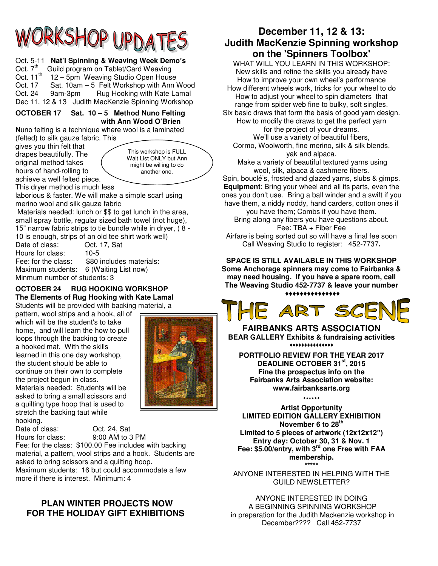# RKSHOP UPD.

## Oct. 5-11 **Nat'l Spinning & Weaving Week Demo's**

Oct. 7<sup>th</sup> Guild program on Tablet/Card Weaving Oct. 11<sup>th</sup> 12 – 5pm Weaving Studio Open House Oct. 17 Sat. 10am – 5 Felt Workshop with Ann Wood Oct. 24 9am-3pm Rug Hooking with Kate Lamal Dec 11, 12 & 13 Judith MacKenzie Spinning Workshop

### **OCTOBER 17 Sat. 10 – 5 Method Nuno Felting with Ann Wood O'Brien**

**N**uno felting is a technique where wool is a laminated (felted) to silk gauze fabric. This

gives you thin felt that drapes beautifully. The original method takes hours of hand-rolling to achieve a well felted piece.

This workshop is FULL Wait List ONLY but Ann might be willing to do another one.

This dryer method is much less

laborious & faster. We will make a simple scarf using merino wool and silk gauze fabric

 Materials needed: lunch or \$\$ to get lunch in the area, small spray bottle, regular sized bath towel (not huge), 15" narrow fabric strips to tie bundle while in dryer, ( 8 - 10 is enough, strips of an old tee shirt work well) Date of class:

Hours for class: 10-5 Fee: for the class: \$80 includes materials: Maximum students: 6 (Waiting List now) Minmum number of students: 3

## **OCTOBER 24 RUG HOOKING WORKSHOP The Elements of Rug Hooking with Kate Lamal**

Students will be provided with backing material, a

pattern, wool strips and a hook, all of which will be the student's to take home, and will learn the how to pull loops through the backing to create a hooked mat. With the skills learned in this one day workshop, the student should be able to continue on their own to complete the project begun in class. Materials needed: Students will be asked to bring a small scissors and a quilting type hoop that is used to stretch the backing taut while hooking.



Date of class: Oct. 24, Sat Hours for class: 9:00 AM to 3 PM

Fee: for the class: \$100.00 Fee includes with backing material, a pattern, wool strips and a hook. Students are asked to bring scissors and a quilting hoop.

Maximum students: 16 but could accommodate a few more if there is interest. Minimum: 4

# **PLAN WINTER PROJECTS NOW FOR THE HOLIDAY GIFT EXHIBITIONS**

# **December 11, 12 & 13: Judith MacKenzie Spinning workshop on the 'Spinners Toolbox'**

WHAT WILL YOU LEARN IN THIS WORKSHOP: New skills and refine the skills you already have How to improve your own wheel's performance How different wheels work, tricks for your wheel to do How to adjust your wheel to spin diameters that range from spider web fine to bulky, soft singles.

Six basic draws that form the basis of good yarn design. How to modify the draws to get the perfect yarn for the project of your dreams. We'll use a variety of beautiful fibers,

Cormo, Woolworth, fine merino, silk & silk blends, yak and alpaca.

 Make a variety of beautiful textured yarns using wool, silk, alpaca & cashmere fibers.

Spin, bouclé's, frosted and glazed yarns, slubs & gimps. **Equipment**: Bring your wheel and all its parts, even the ones you don't use. Bring a ball winder and a swift if you have them, a niddy noddy, hand carders, cotton ones if

you have them; Combs if you have them. Bring along any fibers you have questions about. Fee: TBA + Fiber Fee

Airfare is being sorted out so will have a final fee soon Call Weaving Studio to register:452-7737**.** 

**SPACE IS STILL AVAILABLE IN THIS WORKSHOP Some Anchorage spinners may come to Fairbanks & may need housing. If you have a spare room, call The Weaving Studio 452-7737 & leave your number** 

♦♦♦♦♦♦♦♦♦♦♦♦♦♦♦



**FAIRBANKS ARTS ASSOCIATION BEAR GALLERY Exhibits & fundraising activities**  ♦♦♦♦♦♦♦♦♦♦♦♦♦♦♦

**PORTFOLIO REVIEW FOR THE YEAR 2017 DEADLINE OCTOBER 31st, 2015 Fine the prospectus info on the Fairbanks Arts Association website: www.fairbanksarts.org**

**\*\*\*\*\*\*** 

**Artist Opportunity LIMITED EDITION GALLERY EXHIBITION November 6 to 28th Limited to 5 pieces of artwork (12x12x12") Entry day: October 30, 31 & Nov. 1 Fee: \$5.00/entry, with 3rd one Free with FAA membership. \*\*\*\*\***

ANYONE INTERESTED IN HELPING WITH THE GUILD NEWSLETTER?

ANYONE INTERESTED IN DOING A BEGINNING SPINNING WORKSHOP in preparation for the Judith Mackenzie workshop in December???? Call 452-7737